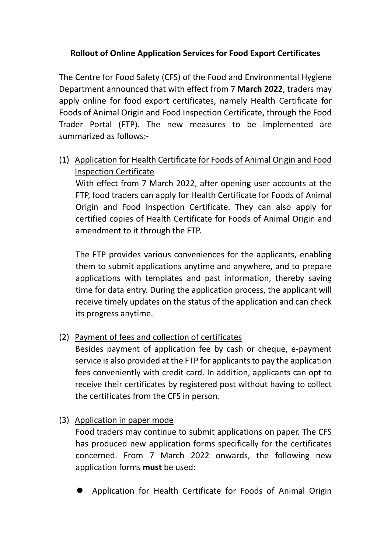## **Rollout of Online Application Services for Food Export Certificates**

The Centre for Food Safety (CFS) of the Food and Environmental Hygiene Department announced that with effect from 7 **March 2022**, traders may apply online for food export certificates, namely Health Certificate for Foods of Animal Origin and Food Inspection Certificate, through the Food Trader Portal (FTP). The new measures to be implemented are summarized as follows:-

(1) Application for Health Certificate for Foods of Animal Origin and Food Inspection Certificate

With effect from 7 March 2022, after opening user accounts at the FTP, food traders can apply for Health Certificate for Foods of Animal Origin and Food Inspection Certificate. They can also apply for certified copies of Health Certificate for Foods of Animal Origin and amendment to it through the FTP.

The FTP provides various conveniences for the applicants, enabling them to submit applications anytime and anywhere, and to prepare applications with templates and past information, thereby saving time for data entry. During the application process, the applicant will receive timely updates on the status of the application and can check its progress anytime.

(2) Payment of fees and collection of certificates

Besides payment of application fee by cash or cheque, e-payment service is also provided at the FTP for applicants to pay the application fees conveniently with credit card. In addition, applicants can opt to receive their certificates by registered post without having to collect the certificates from the CFS in person.

(3) Application in paper mode

Food traders may continue to submit applications on paper. The CFS has produced new application forms specifically for the certificates concerned. From 7 March 2022 onwards, the following new application forms **must** be used:

Application for Health Certificate for Foods of Animal Origin